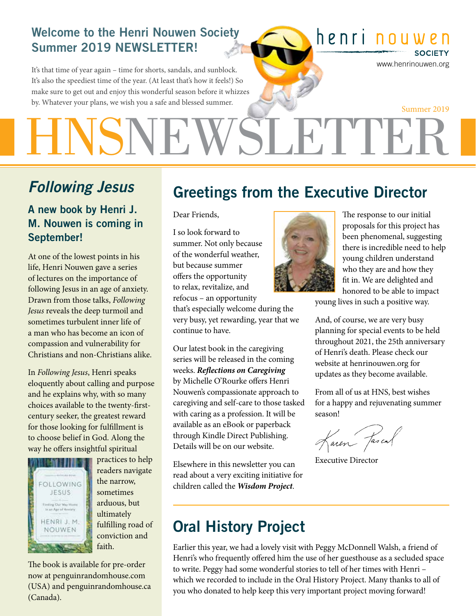#### Welcome to the Henri Nouwen Society Summer 2019 NEWSLETTER!

It's that time of year again – time for shorts, sandals, and sunblock. It's also the speediest time of the year. (At least that's how it feels!) So make sure to get out and enjoy this wonderful season before it whizzes by. Whatever your plans, we wish you a safe and blessed summer.

## henri nouwen

www.henrinouwen.org

**SOCIETY** 

SLETTEE Summer 2019

## *Following Jesus*

A new book by Henri J. M. Nouwen is coming in September!

At one of the lowest points in his life, Henri Nouwen gave a series of lectures on the importance of following Jesus in an age of anxiety. Drawn from those talks, *Following Jesus* reveals the deep turmoil and sometimes turbulent inner life of a man who has become an icon of compassion and vulnerability for Christians and non-Christians alike.

In *Following Jesus*, Henri speaks eloquently about calling and purpose and he explains why, with so many choices available to the twenty-firstcentury seeker, the greatest reward for those looking for fulfillment is to choose belief in God. Along the way he offers insightful spiritual



practices to help readers navigate the narrow, sometimes arduous, but ultimately fulfilling road of conviction and faith.

The book is available for pre-order now at penguinrandomhouse.com (USA) and penguinrandomhouse.ca (Canada).

## Greetings from the Executive Director

Dear Friends,

I so look forward to summer. Not only because of the wonderful weather, but because summer offers the opportunity to relax, revitalize, and refocus – an opportunity that's especially welcome during the

very busy, yet rewarding, year that we continue to have.

Our latest book in the caregiving series will be released in the coming weeks. *Reflections on Caregiving* by Michelle O'Rourke offers Henri Nouwen's compassionate approach to caregiving and self-care to those tasked with caring as a profession. It will be available as an eBook or paperback through Kindle Direct Publishing. Details will be on our website.

Elsewhere in this newsletter you can read about a very exciting initiative for children called the *Wisdom Project*.



The response to our initial proposals for this project has been phenomenal, suggesting there is incredible need to help young children understand who they are and how they fit in. We are delighted and honored to be able to impact

young lives in such a positive way.

And, of course, we are very busy planning for special events to be held throughout 2021, the 25th anniversary of Henri's death. Please check our website at henrinouwen.org for updates as they become available.

From all of us at HNS, best wishes for a happy and rejuvenating summer season!

faien fascal

Executive Director

## Oral History Project

Earlier this year, we had a lovely visit with Peggy McDonnell Walsh, a friend of Henri's who frequently offered him the use of her guesthouse as a secluded space to write. Peggy had some wonderful stories to tell of her times with Henri – which we recorded to include in the Oral History Project. Many thanks to all of you who donated to help keep this very important project moving forward!